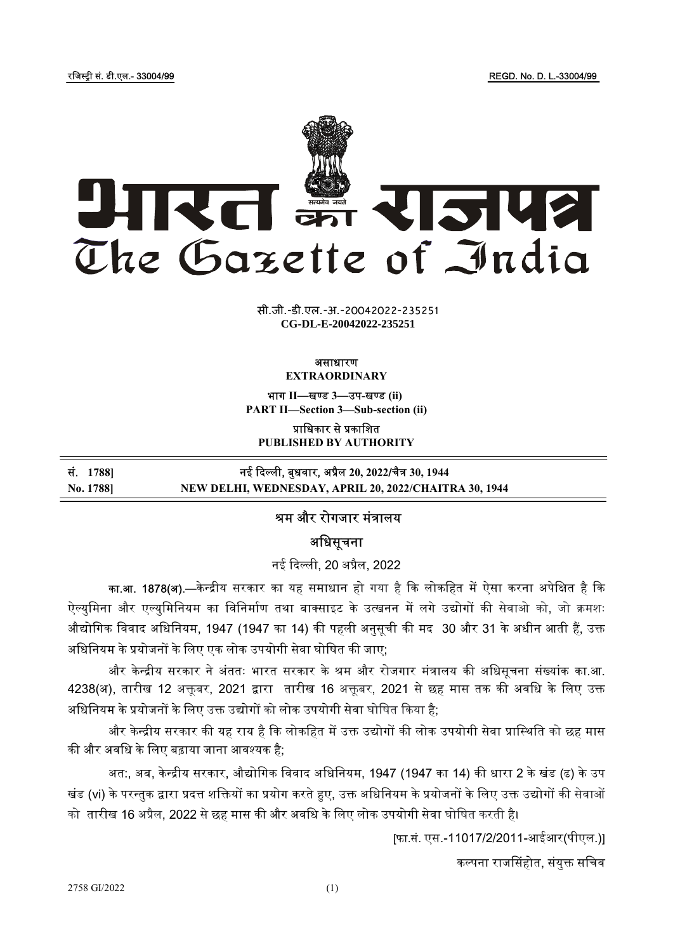रजिस्ट्री सं. डी.एल.- 33004/99 रजिल्ला के संस्कृति के बाद कर संस्कृति के संस्कृति के संस्कृति के संस्कृति के स



xxxGIDHxxx xxxGIDExxx **CG-DL-E-20042022-235251**सी.जी.-डी.एल.-अ.-20042022-235251

#### असाधारण EXTRAORDINARY

भाग II—खण्ड 3—उप-खण्ड (ii) PART II—Section 3—Sub-section (ii)

प्राधिकार से प्रकाशित

PUBLISHED BY AUTHORITY

| सं. 1788] | नई दिल्ली, बुधवार, अप्रैल 20, 2022/चैत्र 30, 1944     |
|-----------|-------------------------------------------------------|
| No. 1788] | NEW DELHI, WEDNESDAY, APRIL 20, 2022/CHAITRA 30, 1944 |

# ᮰म और रोगजार मंᮢालय

अधिसचना

नई ᳰद᭨ ली, 20 अᮧैल, 2022

<mark>का.आ. 1878(अ).—</mark>केन्द्रीय सरकार का यह समाधान हो गया है कि लोकहित में ऐसा करना अपेक्षित है कि ऐल्युमिना और एल्युमिनियम का विनिर्माण तथा बाक्साइट के उत्खनन में लगे उद्योगों की सेवाओ को, जो क्रमशः औद्योगिक विवाद अधिनियम, 1947 (1947 का 14) की पहली अनुसूची की मद 30 और 31 के अधीन आती हैं, उक्त अधिनियम के प्रयोजनों के लिए एक लोक उपयोगी सेवा घोषित की जाए;

और केन्द्रीय सरकार ने अंततः भारत सरकार के श्रम और रोजगार मंत्रालय की अधिसूचना संख्यांक का.आ. 4238(अ), तारीख 12 अक्तूबर, 2021 द्वारा तारीख 16 अक्तूबर, 2021 से छह मास तक की अवधि के लिए उक्त अधिनियम के प्रयोजनों के लिए उक्त उद्योगों को लोक उपयोगी सेवा घोषित किया है;

और केन्द्रीय सरकार की यह राय है कि लोकहित में उक्त उद्योगों की लोक उपयोगी सेवा प्रास्थिति को छह मास की और अवधि के लिए बढ़ाया जाना आवश्यक है:

अत:, अब, केन्द्रीय सरकार, औद्योगिक विवाद अधिनियम, 1947 (1947 का 14) की धारा 2 के खंड (ढ) के उप खंड (vi) के परन्तुक द्वारा प्रदत्त शक्तियों का प्रयोग करते हुए, उक्त अधिनियम के प्रयोजनों के लिए उक्त उद्योगों की सेवाओं को तारीख 16 अप्रैल, 2022 से छह मास की और अवधि के लिए लोक उपयोगी सेवा घोषित करती है।

[फा.सं. एस.-11017/2/2011-आईआर(पीएल.)]

कल्पना राजसिंहोत, संयुक्त सचिव